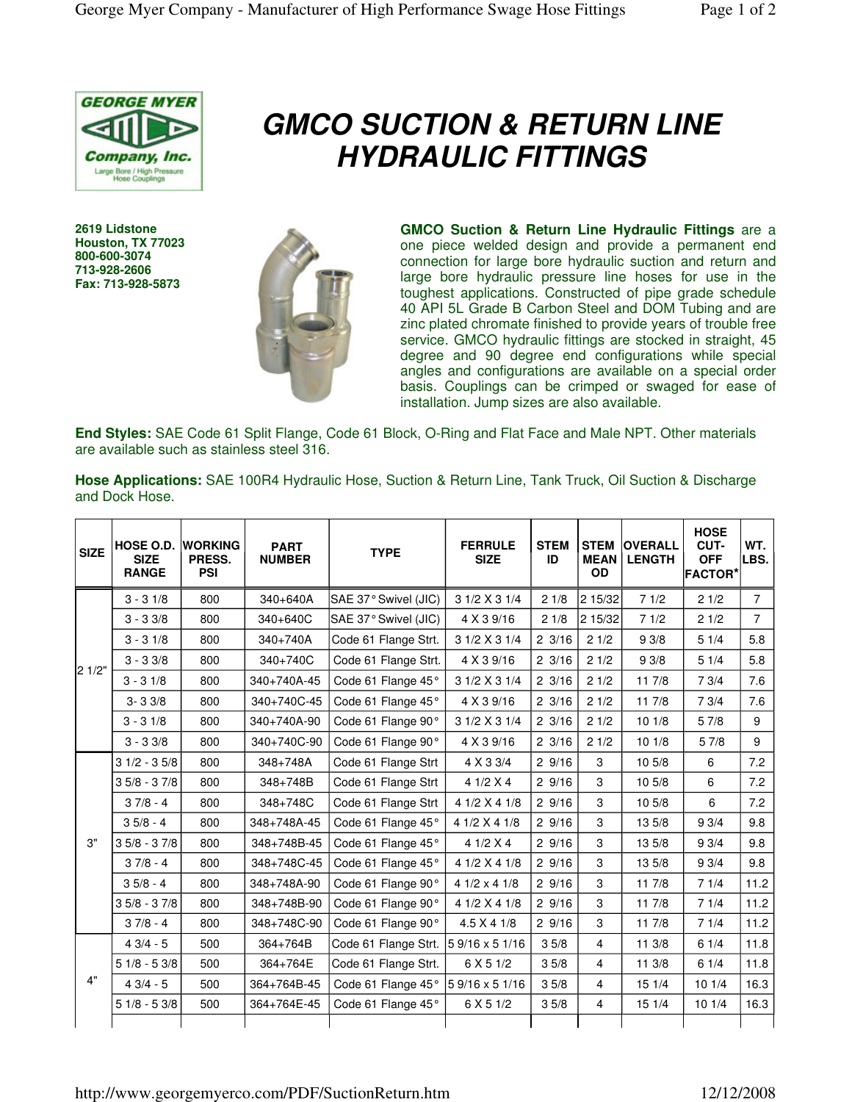

## **GMCO SUCTION & RETURN LINE HYDRAULIC FITTINGS**

**2619 Lidstone Houston, TX 77023 800-600-3074 713-928-2606 Fax: 713-928-5873**



**GMCO Suction & Return Line Hydraulic Fittings** are a one piece welded design and provide a permanent end connection for large bore hydraulic suction and return and large bore hydraulic pressure line hoses for use in the toughest applications. Constructed of pipe grade schedule 40 API 5L Grade B Carbon Steel and DOM Tubing and are zinc plated chromate finished to provide years of trouble free service. GMCO hydraulic fittings are stocked in straight, 45 degree and 90 degree end configurations while special angles and configurations are available on a special order basis. Couplings can be crimped or swaged for ease of installation. Jump sizes are also available.

**End Styles:** SAE Code 61 Split Flange, Code 61 Block, O-Ring and Flat Face and Male NPT. Other materials are available such as stainless steel 316.

**Hose Applications:** SAE 100R4 Hydraulic Hose, Suction & Return Line, Tank Truck, Oil Suction & Discharge and Dock Hose.

| <b>SIZE</b> | HOSE O.D.<br><b>SIZE</b><br><b>RANGE</b> | <b>WORKING</b><br>PRESS.<br><b>PSI</b> | <b>PART</b><br><b>NUMBER</b> | <b>TYPE</b>          | <b>FERRULE</b><br><b>SIZE</b> | <b>STEM</b><br>ID | <b>STEM</b><br><b>MEAN</b><br><b>OD</b> | <b>OVERALL</b><br><b>LENGTH</b> | <b>HOSE</b><br>CUT-<br><b>OFF</b><br><b>FACTOR*</b> | WT.<br>LBS.    |
|-------------|------------------------------------------|----------------------------------------|------------------------------|----------------------|-------------------------------|-------------------|-----------------------------------------|---------------------------------|-----------------------------------------------------|----------------|
| 2 1/2"      | $3 - 31/8$                               | 800                                    | 340+640A                     | SAE 37° Swivel (JIC) | 3 1/2 X 3 1/4                 | 21/8              | 2 15/32                                 | 71/2                            | 21/2                                                | $\overline{7}$ |
|             | $3 - 33/8$                               | 800                                    | 340+640C                     | SAE 37° Swivel (JIC) | 4 X 3 9/16                    | 21/8              | 2 15/32                                 | 71/2                            | 21/2                                                | $\overline{7}$ |
|             | $3 - 31/8$                               | 800                                    | 340+740A                     | Code 61 Flange Strt. | 3 1/2 X 3 1/4                 | $2 \frac{3}{16}$  | 21/2                                    | 93/8                            | 51/4                                                | 5.8            |
|             | $3 - 33/8$                               | 800                                    | 340+740C                     | Code 61 Flange Strt. | 4 X 3 9/16                    | $2 \frac{3}{16}$  | 21/2                                    | 93/8                            | 51/4                                                | 5.8            |
|             | $3 - 31/8$                               | 800                                    | 340+740A-45                  | Code 61 Flange 45°   | 3 1/2 X 3 1/4                 | $2 \frac{3}{16}$  | 21/2                                    | 11 7/8                          | 73/4                                                | 7.6            |
|             | $3 - 33/8$                               | 800                                    | 340+740C-45                  | Code 61 Flange 45°   | 4 X 3 9/16                    | $2 \frac{3}{16}$  | 21/2                                    | 117/8                           | 73/4                                                | 7.6            |
|             | $3 - 31/8$                               | 800                                    | 340+740A-90                  | Code 61 Flange 90°   | 3 1/2 X 3 1/4                 | $2 \frac{3}{16}$  | 21/2                                    | 101/8                           | 57/8                                                | 9              |
|             | $3 - 33/8$                               | 800                                    | 340+740C-90                  | Code 61 Flange 90°   | 4 X 3 9/16                    | 23/16             | 21/2                                    | 101/8                           | 5 7/8                                               | 9              |
| 3"          | $31/2 - 35/8$                            | 800                                    | 348+748A                     | Code 61 Flange Strt  | 4 X 3 3/4                     | 29/16             | 3                                       | 10 5/8                          | 6                                                   | 7.2            |
|             | $35/8 - 37/8$                            | 800                                    | 348+748B                     | Code 61 Flange Strt  | 4 $1/2$ X 4                   | 29/16             | 3                                       | 10 5/8                          | 6                                                   | 7.2            |
|             | $37/8 - 4$                               | 800                                    | 348+748C                     | Code 61 Flange Strt  | 4 1/2 X 4 1/8                 | 29/16             | 3                                       | 10 5/8                          | 6                                                   | 7.2            |
|             | $35/8 - 4$                               | 800                                    | 348+748A-45                  | Code 61 Flange 45°   | 4 1/2 X 4 1/8                 | 29/16             | 3                                       | 13 5/8                          | 93/4                                                | 9.8            |
|             | $35/8 - 37/8$                            | 800                                    | 348+748B-45                  | Code 61 Flange 45°   | 4 1/2 X 4                     | 29/16             | 3                                       | 13 5/8                          | 93/4                                                | 9.8            |
|             | $37/8 - 4$                               | 800                                    | 348+748C-45                  | Code 61 Flange 45°   | 4 1/2 X 4 1/8                 | 29/16             | 3                                       | 13 5/8                          | 93/4                                                | 9.8            |
|             | $35/8 - 4$                               | 800                                    | 348+748A-90                  | Code 61 Flange 90°   | 4 1/2 x 4 1/8                 | 29/16             | 3                                       | 11 7/8                          | 71/4                                                | 11.2           |
|             | $35/8 - 37/8$                            | 800                                    | 348+748B-90                  | Code 61 Flange 90°   | 4 1/2 X 4 1/8                 | 29/16             | 3                                       | 11 7/8                          | 71/4                                                | 11.2           |
|             | $37/8 - 4$                               | 800                                    | 348+748C-90                  | Code 61 Flange 90°   | 4.5 X 4 1/8                   | 29/16             | 3                                       | 11 7/8                          | 71/4                                                | 11.2           |
| 4"          | $43/4 - 5$                               | 500                                    | 364+764B                     | Code 61 Flange Strt. | 59/16 x 51/16                 | 35/8              | 4                                       | 11 3/8                          | 61/4                                                | 11.8           |
|             | $51/8 - 53/8$                            | 500                                    | 364+764E                     | Code 61 Flange Strt. | 6 X 5 1/2                     | 35/8              | $\overline{4}$                          | 11 3/8                          | 61/4                                                | 11.8           |
|             | $43/4 - 5$                               | 500                                    | 364+764B-45                  | Code 61 Flange 45°   | 59/16 x 51/16                 | 35/8              | $\overline{4}$                          | 151/4                           | 101/4                                               | 16.3           |
|             | $51/8 - 53/8$                            | 500                                    | 364+764E-45                  | Code 61 Flange 45°   | 6 X 5 1/2                     | 35/8              | $\overline{4}$                          | 15 1/4                          | 101/4                                               | 16.3           |
|             |                                          |                                        |                              |                      |                               |                   |                                         |                                 |                                                     |                |